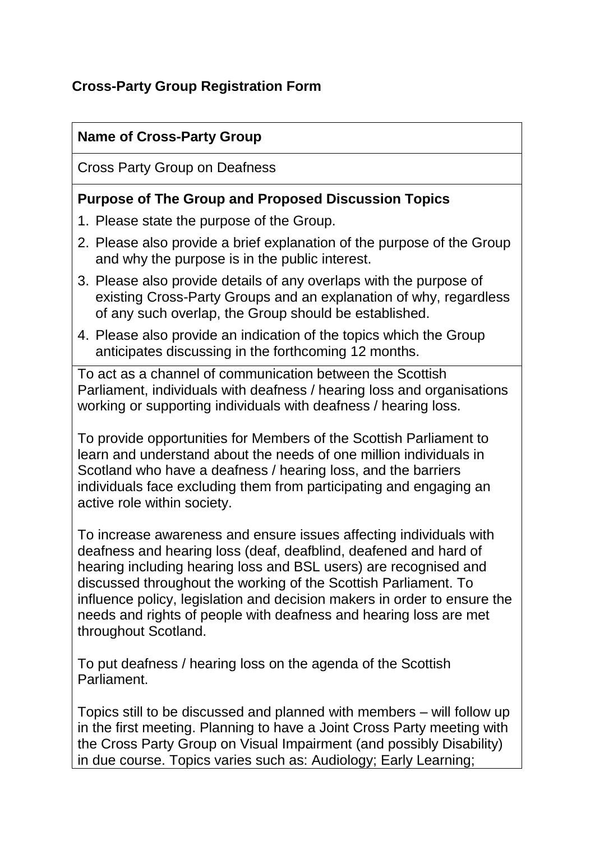# **Cross-Party Group Registration Form**

#### **Name of Cross-Party Group**

Cross Party Group on Deafness

#### **Purpose of The Group and Proposed Discussion Topics**

- 1. Please state the purpose of the Group.
- 2. Please also provide a brief explanation of the purpose of the Group and why the purpose is in the public interest.
- 3. Please also provide details of any overlaps with the purpose of existing Cross-Party Groups and an explanation of why, regardless of any such overlap, the Group should be established.
- 4. Please also provide an indication of the topics which the Group anticipates discussing in the forthcoming 12 months.

To act as a channel of communication between the Scottish Parliament, individuals with deafness / hearing loss and organisations working or supporting individuals with deafness / hearing loss.

To provide opportunities for Members of the Scottish Parliament to learn and understand about the needs of one million individuals in Scotland who have a deafness / hearing loss, and the barriers individuals face excluding them from participating and engaging an active role within society.

To increase awareness and ensure issues affecting individuals with deafness and hearing loss (deaf, deafblind, deafened and hard of hearing including hearing loss and BSL users) are recognised and discussed throughout the working of the Scottish Parliament. To influence policy, legislation and decision makers in order to ensure the needs and rights of people with deafness and hearing loss are met throughout Scotland.

To put deafness / hearing loss on the agenda of the Scottish Parliament.

Topics still to be discussed and planned with members – will follow up in the first meeting. Planning to have a Joint Cross Party meeting with the Cross Party Group on Visual Impairment (and possibly Disability) in due course. Topics varies such as: Audiology; Early Learning;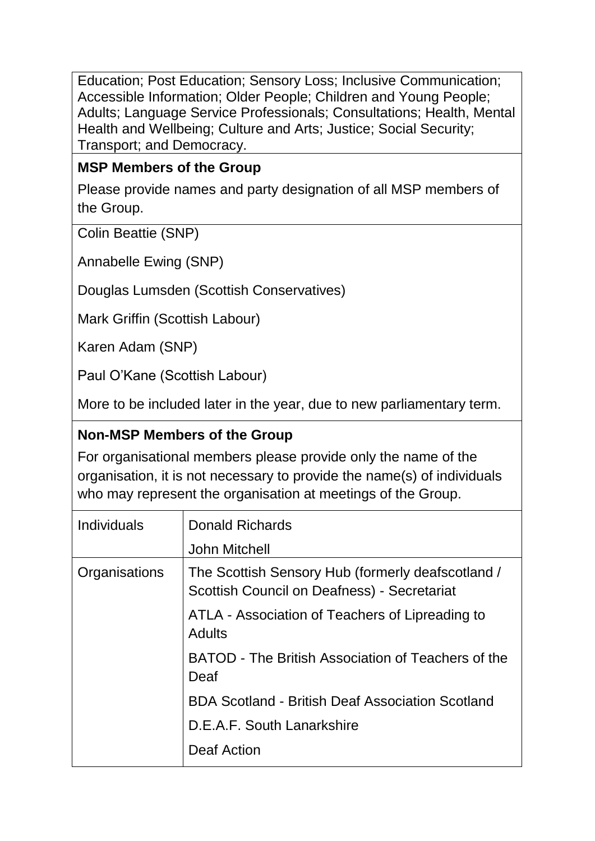Education; Post Education; Sensory Loss; Inclusive Communication; Accessible Information; Older People; Children and Young People; Adults; Language Service Professionals; Consultations; Health, Mental Health and Wellbeing; Culture and Arts; Justice; Social Security; Transport; and Democracy.

#### **MSP Members of the Group**

Please provide names and party designation of all MSP members of the Group.

Colin Beattie (SNP)

Annabelle Ewing (SNP)

Douglas Lumsden (Scottish Conservatives)

Mark Griffin (Scottish Labour)

Karen Adam (SNP)

Paul O'Kane (Scottish Labour)

More to be included later in the year, due to new parliamentary term.

# **Non-MSP Members of the Group**

For organisational members please provide only the name of the organisation, it is not necessary to provide the name(s) of individuals who may represent the organisation at meetings of the Group.

| Individuals   | Donald Richards                                                                                 |
|---------------|-------------------------------------------------------------------------------------------------|
|               | <b>John Mitchell</b>                                                                            |
| Organisations | The Scottish Sensory Hub (formerly deafscotland)<br>Scottish Council on Deafness) - Secretariat |
|               | ATLA - Association of Teachers of Lipreading to<br><b>Adults</b>                                |
|               | BATOD - The British Association of Teachers of the<br>Deaf                                      |
|               | <b>BDA Scotland - British Deaf Association Scotland</b>                                         |
|               | D.E.A.F. South Lanarkshire                                                                      |
|               | Deaf Action                                                                                     |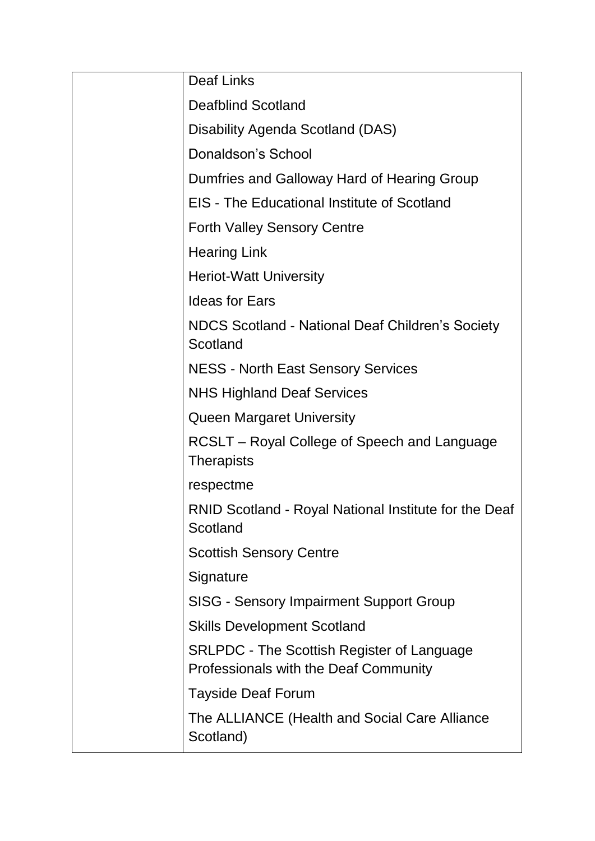| <b>Deaf Links</b>                                                                          |
|--------------------------------------------------------------------------------------------|
| <b>Deafblind Scotland</b>                                                                  |
| <b>Disability Agenda Scotland (DAS)</b>                                                    |
| Donaldson's School                                                                         |
| Dumfries and Galloway Hard of Hearing Group                                                |
| <b>EIS</b> - The Educational Institute of Scotland                                         |
| <b>Forth Valley Sensory Centre</b>                                                         |
| <b>Hearing Link</b>                                                                        |
| <b>Heriot-Watt University</b>                                                              |
| <b>Ideas for Ears</b>                                                                      |
| NDCS Scotland - National Deaf Children's Society<br>Scotland                               |
| <b>NESS - North East Sensory Services</b>                                                  |
| <b>NHS Highland Deaf Services</b>                                                          |
| <b>Queen Margaret University</b>                                                           |
| RCSLT – Royal College of Speech and Language<br><b>Therapists</b>                          |
| respectme                                                                                  |
| RNID Scotland - Royal National Institute for the Deaf<br>Scotland                          |
| <b>Scottish Sensory Centre</b>                                                             |
| Signature                                                                                  |
| <b>SISG - Sensory Impairment Support Group</b>                                             |
| <b>Skills Development Scotland</b>                                                         |
| <b>SRLPDC - The Scottish Register of Language</b><br>Professionals with the Deaf Community |
| <b>Tayside Deaf Forum</b>                                                                  |
| The ALLIANCE (Health and Social Care Alliance<br>Scotland)                                 |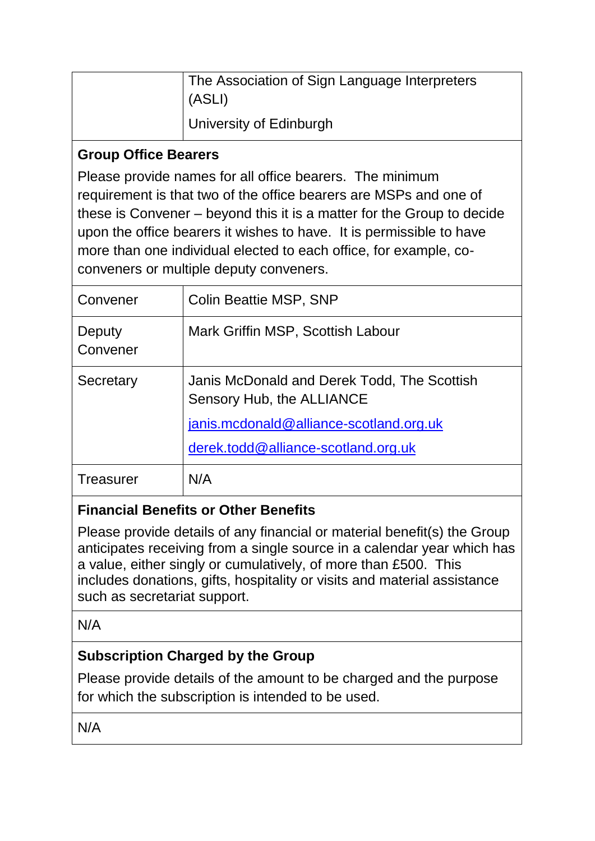| The Association of Sign Language Interpreters<br>$ $ (ASLI) |
|-------------------------------------------------------------|
| University of Edinburgh                                     |

#### **Group Office Bearers**

Please provide names for all office bearers. The minimum requirement is that two of the office bearers are MSPs and one of these is Convener – beyond this it is a matter for the Group to decide upon the office bearers it wishes to have. It is permissible to have more than one individual elected to each office, for example, coconveners or multiple deputy conveners.

| Convener           | Colin Beattie MSP, SNP                                                                                                                                     |
|--------------------|------------------------------------------------------------------------------------------------------------------------------------------------------------|
| Deputy<br>Convener | Mark Griffin MSP, Scottish Labour                                                                                                                          |
| Secretary          | Janis McDonald and Derek Todd, The Scottish<br>Sensory Hub, the ALLIANCE<br>janis.mcdonald@alliance-scotland.org.uk<br>derek.todd@alliance-scotland.org.uk |
| Treasurer          | N/A                                                                                                                                                        |

# **Financial Benefits or Other Benefits**

Please provide details of any financial or material benefit(s) the Group anticipates receiving from a single source in a calendar year which has a value, either singly or cumulatively, of more than £500. This includes donations, gifts, hospitality or visits and material assistance such as secretariat support.

#### N/A

# **Subscription Charged by the Group**

Please provide details of the amount to be charged and the purpose for which the subscription is intended to be used.

N/A